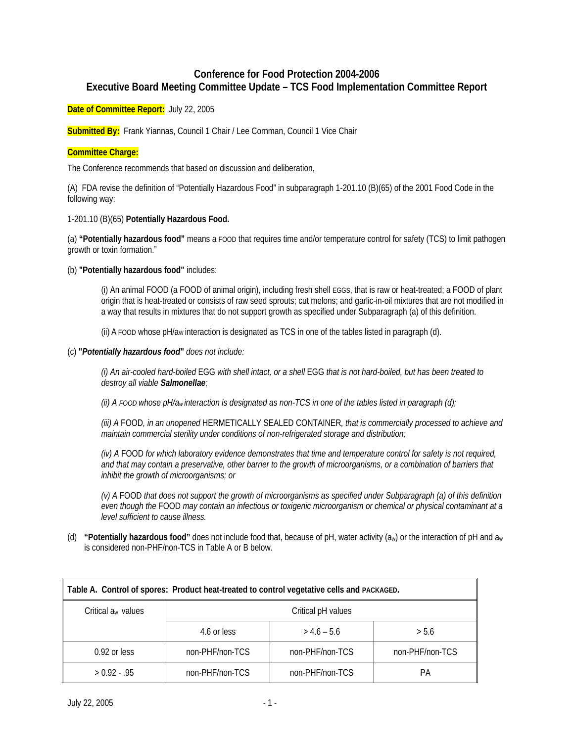# **Conference for Food Protection 2004-2006 Executive Board Meeting Committee Update – TCS Food Implementation Committee Report**

**Date of Committee Report:** July 22, 2005

**Submitted By:** Frank Yiannas, Council 1 Chair / Lee Cornman, Council 1 Vice Chair

# **Committee Charge:**

The Conference recommends that based on discussion and deliberation,

(A) FDA revise the definition of "Potentially Hazardous Food" in subparagraph 1-201.10 (B)(65) of the 2001 Food Code in the following way:

### 1-201.10 (B)(65) **Potentially Hazardous Food.**

(a) **"Potentially hazardous food"** means a FOOD that requires time and/or temperature control for safety (TCS) to limit pathogen growth or toxin formation."

(b) **"Potentially hazardous food"** includes:

(i) An animal FOOD (a FOOD of animal origin), including fresh shell EGGs, that is raw or heat-treated; a FOOD of plant origin that is heat-treated or consists of raw seed sprouts; cut melons; and garlic-in-oil mixtures that are not modified in a way that results in mixtures that do not support growth as specified under Subparagraph (a) of this definition.

(ii) A FOOD whose  $pH/a_W$  interaction is designated as TCS in one of the tables listed in paragraph (d).

#### (c) **"***Potentially hazardous food***"** *does not include:*

*(i) An air-cooled hard-boiled* EGG *with shell intact, or a shell* EGG *that is not hard-boiled, but has been treated to destroy all viable Salmonellae;*

*(ii) A FOOD whose pH/aw interaction is designated as non-TCS in one of the tables listed in paragraph (d);* 

*(iii) A* FOOD*, in an unopened* HERMETICALLY SEALED CONTAINER*, that is commercially processed to achieve and maintain commercial sterility under conditions of non-refrigerated storage and distribution;* 

*(iv) A* FOOD *for which laboratory evidence demonstrates that time and temperature control for safety is not required, and that may contain a preservative, other barrier to the growth of microorganisms, or a combination of barriers that inhibit the growth of microorganisms; or*

*(v) A* FOOD *that does not support the growth of microorganisms as specified under Subparagraph (a) of this definition even though the* FOOD *may contain an infectious or toxigenic microorganism or chemical or physical contaminant at a level sufficient to cause illness.* 

(d) **"Potentially hazardous food"** does not include food that, because of pH, water activity (aw) or the interaction of pH and aw is considered non-PHF/non-TCS in Table A or B below.

| Table A. Control of spores: Product heat-treated to control vegetative cells and PACKAGED. |                    |                 |                 |  |  |  |
|--------------------------------------------------------------------------------------------|--------------------|-----------------|-----------------|--|--|--|
| Critical a <sub>w</sub> values                                                             | Critical pH values |                 |                 |  |  |  |
|                                                                                            | 4.6 or less        | $> 4.6 - 5.6$   | > 5.6           |  |  |  |
| $0.92$ or less                                                                             | non-PHF/non-TCS    | non-PHF/non-TCS | non-PHF/non-TCS |  |  |  |
| $> 0.92 - .95$                                                                             | non-PHF/non-TCS    | non-PHF/non-TCS | PА              |  |  |  |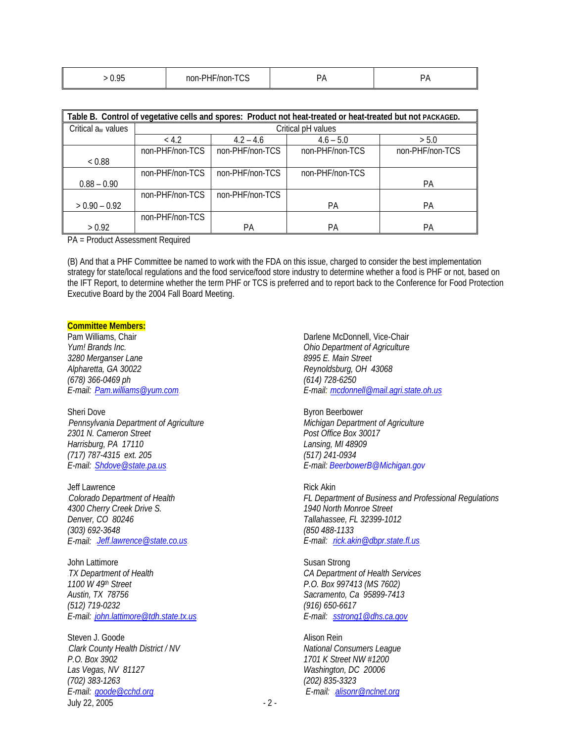| non-<br>``<br>u.<br>чюн-<br>. .<br>باد | $\cap$ | $ -$<br>$\sim\cdot\cdot\cdot$ |  |  |
|----------------------------------------|--------|-------------------------------|--|--|
|----------------------------------------|--------|-------------------------------|--|--|

| Table B. Control of vegetative cells and spores: Product not heat-treated or heat-treated but not PACKAGED. |                    |                 |                 |                 |  |  |
|-------------------------------------------------------------------------------------------------------------|--------------------|-----------------|-----------------|-----------------|--|--|
|                                                                                                             |                    |                 |                 |                 |  |  |
| Critical $a_w$ values                                                                                       | Critical pH values |                 |                 |                 |  |  |
|                                                                                                             | < 4.2              | $4.2 - 4.6$     | $4.6 - 5.0$     | > 5.0           |  |  |
|                                                                                                             | non-PHF/non-TCS    | non-PHF/non-TCS | non-PHF/non-TCS | non-PHF/non-TCS |  |  |
| < 0.88                                                                                                      |                    |                 |                 |                 |  |  |
|                                                                                                             | non-PHF/non-TCS    | non-PHF/non-TCS | non-PHF/non-TCS |                 |  |  |
| $0.88 - 0.90$                                                                                               |                    |                 |                 | РA              |  |  |
|                                                                                                             | non-PHF/non-TCS    | non-PHF/non-TCS |                 |                 |  |  |
| $> 0.90 - 0.92$                                                                                             |                    |                 | <b>PA</b>       | РA              |  |  |
|                                                                                                             | non-PHF/non-TCS    |                 |                 |                 |  |  |
| > 0.92                                                                                                      |                    | РA              | PA              | РA              |  |  |

PA = Product Assessment Required

(B) And that a PHF Committee be named to work with the FDA on this issue, charged to consider the best implementation strategy for state/local regulations and the food service/food store industry to determine whether a food is PHF or not, based on the IFT Report, to determine whether the term PHF or TCS is preferred and to report back to the Conference for Food Protection Executive Board by the 2004 Fall Board Meeting.

# **Committee Members:**

*Yum! Brands Inc. Ohio Department of Agriculture 3280 Merganser Lane 8995 E. Main Street Alpharetta, GA 30022 Reynoldsburg, OH 43068 (678) 366-0469 ph (614) 728-6250* 

Sheri Dove Byron Beerbower 0B*Pennsylvania Department of Agriculture Michigan Department of Agriculture 2301 N. Cameron Street Post Office Box 30017 Harrisburg, PA 17110 Lansing, MI 48909 (717) 787-4315 ext. 205 (517) 241-0934*  E-mail: **Shdove@state.pa.us. E-mail: BeerbowerB@Michigan.gov** 

Jeff Lawrence **Rick Akin** *4300 Cherry Creek Drive S. 1940 North Monroe Street Denver, CO 80246 Tallahassee, FL 32399-1012 (303) 692-3648 (850 488-1133* 

John Lattimore Susan Strong 2B*TX Department of Health CA Department of Health Services 1100 W 49th Street P.O. Box 997413 (MS 7602) Austin, TX 78756 Sacramento, Ca 95899-7413 (512) 719-0232 (916) 650-6617 E-mail:* HU*john.lattimore@tdh.state.tx.us*UH *E-mail:* HU*sstrong1@dhs.ca.gov*<sup>U</sup>

July 22, 2005 - 2 -Steven J. Goode **Alison Rein** 3B*Clark County Health District / NV National Consumers League P.O. Box 3902 1701 K Street NW #1200 Las Vegas, NV 81127 Washington, DC 20006 (702) 383-1263 (202) 835-3323*   $E$ -mail: **goode@cchd.org**UHU<sub>2</sub> E-mail: **html** end and alisonr@nclnet.org

Pam Williams, Chair **Darlene McDonnell, Vice-Chair** Darlene McDonnell, Vice-Chair *E-mail:* HU*Pam.williams@yum.com*UH *E-mail:* U*mcdonnell@mail.agri.state.oh.us*

1B*Colorado Department of Health FL Department of Business and Professional Regulations E-mail:* HU*Jeff.lawrence@state.co.us*UH *E-mail:* HU*rick.akin@dbpr.state.fl.us*UH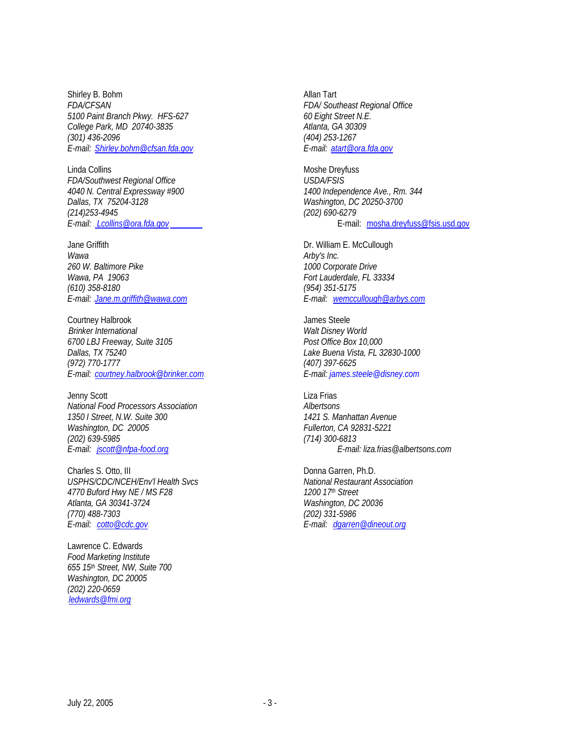Shirley B. Bohm Allan Tart *FDA/CFSAN FDA/ Southeast Regional Office 5100 Paint Branch Pkwy. HFS-627 60 Eight Street N.E. College Park, MD 20740-3835 Atlanta, GA 30309 (301) 436-2096 (404) 253-1267 E-mail: <u>Shirley.bohm@cfsan.fda.gov</u>UHuatart@ora.fda.gov* 

Linda Collins **Moshe Dreyfuss** Moshe Dreyfuss *FDA/Southwest Regional Office USDA/FSIS 4040 N. Central Expressway #900 1400 Independence Ave., Rm. 344 (214)253-4945 (202) 690-6279* 

Jane Griffith **Dr. William E. McCullough** *Wawa Arby's Inc.*<br>260 W. Baltimore Pike *Arby's Inc.* **Arby's Inc.** *Wawa, PA 19063* Fort Lauderdale, FL 33334 *(610) 358-8180 (954) 351-5175*  E-mail: Jane.m.griffith@wawa.com **E-mail:** *E-mail: .wemccullough@arbys.com* 

Courtney Halbrook **Courtney Halbrook James Steele** 4B*Brinker International Walt Disney World 6700 LBJ Freeway, Suite 3105 Post Office Box 10,000 Dallas, TX 75240 Lake Buena Vista, FL 32830-1000 (972) 770-1777 (407) 397-6625 E-mail:* HU*courtney.halbrook@brinker.com*UH *E-mail: james.steele@disney.com*

Jenny Scott **Liza Frias** *National Food Processors Association Albertsons*  1350 I Street, N.W. Suite 300 *Washington, DC 20005 Fullerton, CA 92831-5221 (202) 639-5985 (714) 300-6813* 

Charles S. Otto, III Donna Garren, Ph.D.<br>
USPHS/CDC/NCEH/Env'l Health Svcs National Restaurant Association USPHS/CDC/NCEH/Env'l Health Svcs *4770 Buford Hwy NE / MS F28 1200 17th Street Atlanta, GA 30341-3724 Washington, DC 20036 (770) 488-7303 (202) 331-5986*  E-mail: **cotto@cdc.gov.**<br>
E-mail: **AU**cotto@cdc.gov.

Lawrence C. Edwards *Food Marketing Institute 655 15th Street, NW, Suite 700 Washington, DC 20005 (202) 220-0659 Hedwards@fmi.org* 

*Dallas, TX 75204-3128 Washington, DC 20250-3700 E-mail: . Lcollins@ora.fda.gov.* **E-mail: . html:** mosha.dreyfuss@fsis.usd.gov.

*260 W. Baltimore Pike 1000 Corporate Drive* 

*E-mail:* HU*jscott@nfpa-food.org*UH *E-mail: liza.frias@albertsons.com*